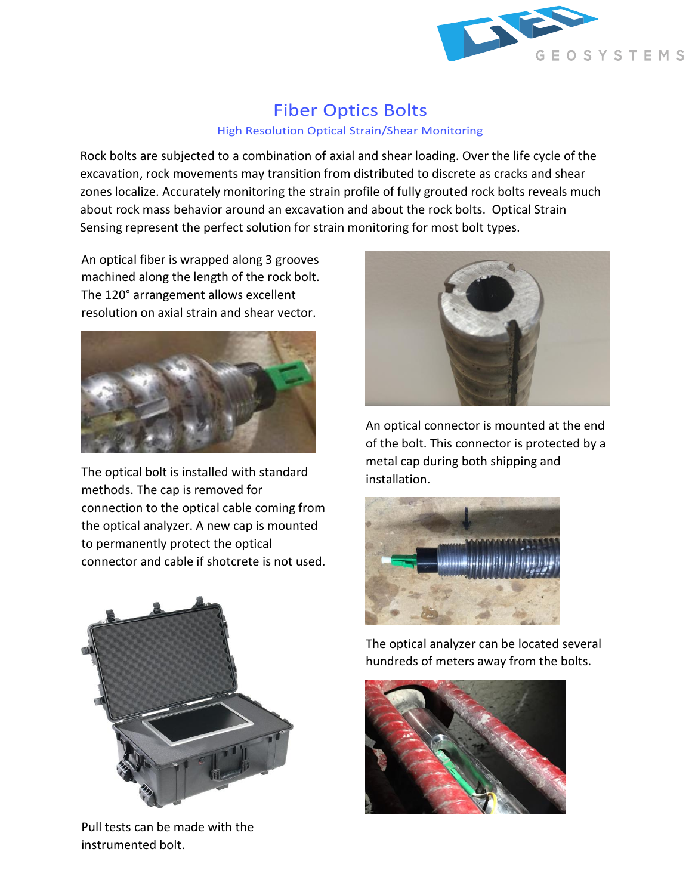

## Fiber Optics Bolts

## High Resolution Optical Strain/Shear Monitoring

Rock bolts are subjected to a combination of axial and shear loading. Over the life cycle of the excavation, rock movements may transition from distributed to discrete as cracks and shear zones localize. Accurately monitoring the strain profile of fully grouted rock bolts reveals much about rock mass behavior around an excavation and about the rock bolts. Optical Strain Sensing represent the perfect solution for strain monitoring for most bolt types.

An optical fiber is wrapped along 3 grooves machined along the length of the rock bolt. The 120° arrangement allows excellent resolution on axial strain and shear vector.



The optical bolt is installed with standard methods. The cap is removed for connection to the optical cable coming from the optical analyzer. A new cap is mounted to permanently protect the optical connector and cable if shotcrete is not used.



Pull tests can be made with the instrumented bolt.



An optical connector is mounted at the end of the bolt. This connector is protected by a metal cap during both shipping and installation.



The optical analyzer can be located several hundreds of meters away from the bolts.